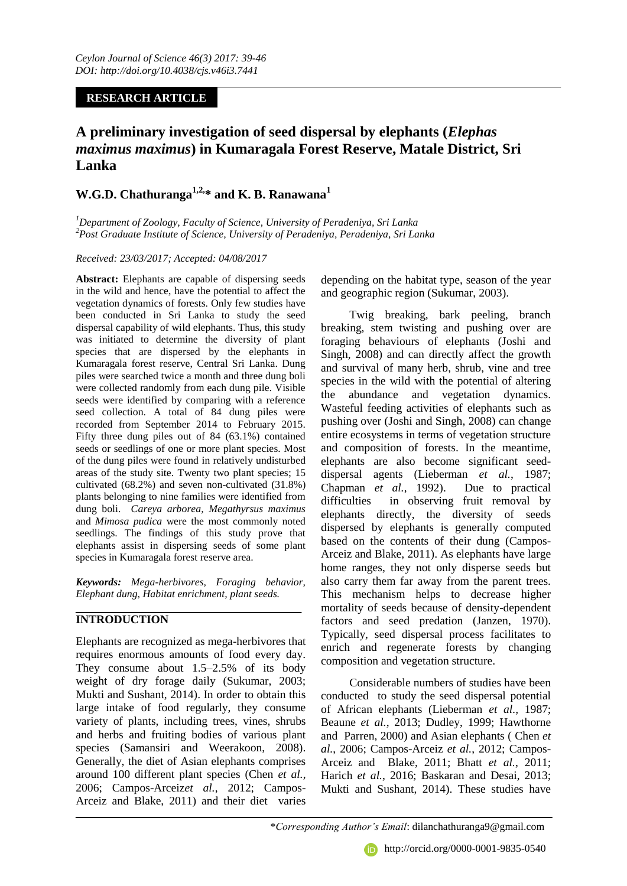## **RESEARCH ARTICLE**

# **A preliminary investigation of seed dispersal by elephants (***Elephas maximus maximus***) in Kumaragala Forest Reserve, Matale District, Sri Lanka**

## **W.G.D. Chathuranga1,2,\* and K. B. Ranawana<sup>1</sup>**

*<sup>1</sup>Department of Zoology, Faculty of Science, University of Peradeniya, Sri Lanka <sup>2</sup>Post Graduate Institute of Science, University of Peradeniya, Peradeniya, Sri Lanka*

#### *Received: 23/03/2017; Accepted: 04/08/2017*

**Abstract:** Elephants are capable of dispersing seeds in the wild and hence, have the potential to affect the vegetation dynamics of forests. Only few studies have been conducted in Sri Lanka to study the seed dispersal capability of wild elephants. Thus, this study was initiated to determine the diversity of plant species that are dispersed by the elephants in Kumaragala forest reserve, Central Sri Lanka. Dung piles were searched twice a month and three dung boli were collected randomly from each dung pile. Visible seeds were identified by comparing with a reference seed collection. A total of 84 dung piles were recorded from September 2014 to February 2015. Fifty three dung piles out of 84 (63.1%) contained seeds or seedlings of one or more plant species. Most of the dung piles were found in relatively undisturbed areas of the study site. Twenty two plant species; 15 cultivated (68.2%) and seven non-cultivated (31.8%) plants belonging to nine families were identified from dung boli. *Careya arborea, Megathyrsus maximus*  and *Mimosa pudica* were the most commonly noted seedlings. The findings of this study prove that elephants assist in dispersing seeds of some plant species in Kumaragala forest reserve area.

*Keywords: Mega-herbivores, Foraging behavior, Elephant dung, Habitat enrichment, plant seeds.* 

## **INTRODUCTION**

Elephants are recognized as mega-herbivores that requires enormous amounts of food every day. They consume about 1.5–2.5% of its body weight of dry forage daily (Sukumar, 2003; Mukti and Sushant, 2014). In order to obtain this large intake of food regularly, they consume variety of plants, including trees, vines, shrubs and herbs and fruiting bodies of various plant species (Samansiri and Weerakoon, 2008). Generally, the diet of Asian elephants comprises around 100 different plant species (Chen *et al.*, 2006; Campos-Arceiz*et al.*, 2012; Campos-Arceiz and Blake, 2011) and their diet varies

depending on the habitat type, season of the year and geographic region (Sukumar, 2003).

Twig breaking, bark peeling, branch breaking, stem twisting and pushing over are foraging behaviours of elephants (Joshi and Singh, 2008) and can directly affect the growth and survival of many herb, shrub, vine and tree species in the wild with the potential of altering the abundance and vegetation dynamics. Wasteful feeding activities of elephants such as pushing over (Joshi and Singh, 2008) can change entire ecosystems in terms of vegetation structure and composition of forests. In the meantime, elephants are also become significant seeddispersal agents (Lieberman *et al.*, 1987; Chapman *et al.*, 1992). Due to practical difficulties in observing fruit removal by elephants directly, the diversity of seeds dispersed by elephants is generally computed based on the contents of their dung (Campos-Arceiz and Blake, 2011). As elephants have large home ranges, they not only disperse seeds but also carry them far away from the parent trees. This mechanism helps to decrease higher mortality of seeds because of density-dependent factors and seed predation (Janzen, 1970). Typically, seed dispersal process facilitates to enrich and regenerate forests by changing composition and vegetation structure.

Considerable numbers of studies have been conducted to study the seed dispersal potential of African elephants (Lieberman *et al.,* 1987; Beaune *et al.*, 2013; Dudley, 1999; Hawthorne and Parren, 2000) and Asian elephants ( Chen *et al.*, 2006; Campos-Arceiz *et al.*, 2012; Campos-Arceiz and Blake, 2011; Bhatt *et al.*, 2011; Harich *et al.*, 2016; Baskaran and Desai, 2013; Mukti and Sushant, 2014). These studies have

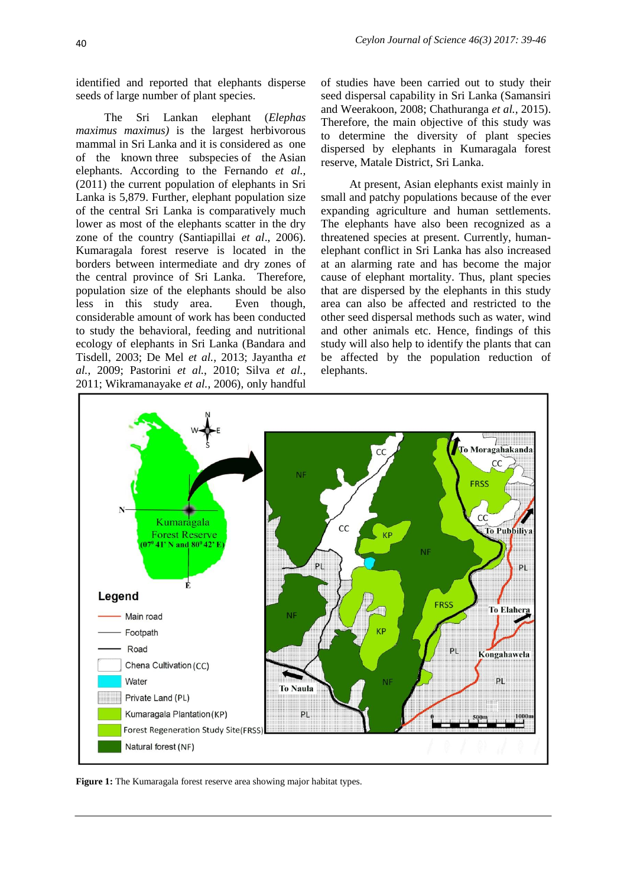identified and reported that elephants disperse seeds of large number of plant species.

The Sri Lankan elephant (*Elephas maximus maximus)* is the largest herbivorous mammal in Sri Lanka and it is considered as one of the known three [subspecies](https://en.wikipedia.org/wiki/Subspecies) of the [Asian](https://en.wikipedia.org/wiki/Asian_elephant)  [elephants](https://en.wikipedia.org/wiki/Asian_elephant). According to the Fernando *et al.,*  (2011) the current population of elephants in Sri Lanka is 5,879. Further, elephant population size of the central Sri Lanka is comparatively much lower as most of the elephants scatter in the dry zone of the country (Santiapillai *et al*., 2006). Kumaragala forest reserve is located in the borders between intermediate and dry zones of the central province of Sri Lanka. Therefore, population size of the elephants should be also less in this study area. Even though, considerable amount of work has been conducted to study the behavioral, feeding and nutritional ecology of elephants in Sri Lanka (Bandara and Tisdell, 2003; De Mel *et al.*, 2013; Jayantha *et al.*, 2009; Pastorini *et al.*, 2010; Silva *et al.*, 2011; Wikramanayake *et al.*, 2006), only handful

of studies have been carried out to study their seed dispersal capability in Sri Lanka (Samansiri and Weerakoon, 2008; Chathuranga *et al.*, 2015). Therefore, the main objective of this study was to determine the diversity of plant species dispersed by elephants in Kumaragala forest reserve, Matale District, Sri Lanka.

At present, Asian elephants exist mainly in small and patchy populations because of the ever expanding agriculture and human settlements. The elephants have also been recognized as a threatened species at present. Currently, humanelephant conflict in Sri Lanka has also increased at an alarming rate and has become the major cause of elephant mortality. Thus, plant species that are dispersed by the elephants in this study area can also be affected and restricted to the other seed dispersal methods such as water, wind and other animals etc. Hence, findings of this study will also help to identify the plants that can be affected by the population reduction of elephants.



**Figure 1:** The Kumaragala forest reserve area showing major habitat types.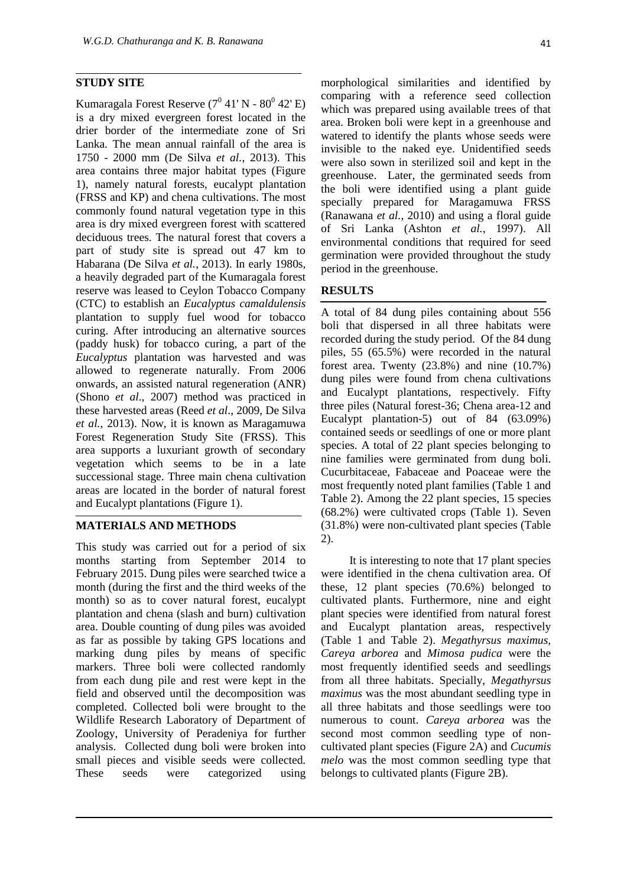#### **STUDY SITE**

Kumaragala Forest Reserve  $(7^0 41' N - 80^0 42' E)$ is a dry mixed evergreen forest located in the drier border of the intermediate zone of Sri Lanka. The mean annual rainfall of the area is 1750 - 2000 mm (De Silva *et al.*, 2013). This area contains three major habitat types (Figure 1), namely natural forests, eucalypt plantation (FRSS and KP) and chena cultivations. The most commonly found natural vegetation type in this area is dry mixed evergreen forest with scattered deciduous trees. The natural forest that covers a part of study site is spread out 47 km to Habarana (De Silva *et al.*, 2013). In early 1980s, a heavily degraded part of the Kumaragala forest reserve was leased to Ceylon Tobacco Company (CTC) to establish an *Eucalyptus camaldulensis* plantation to supply fuel wood for tobacco curing. After introducing an alternative sources (paddy husk) for tobacco curing, a part of the *Eucalyptus* plantation was harvested and was allowed to regenerate naturally. From 2006 onwards, an assisted natural regeneration (ANR) (Shono *et al*., 2007) method was practiced in these harvested areas (Reed *et al*., 2009, De Silva *et al.*, 2013). Now, it is known as Maragamuwa Forest Regeneration Study Site (FRSS). This area supports a luxuriant growth of secondary vegetation which seems to be in a late successional stage. Three main chena cultivation areas are located in the border of natural forest and Eucalypt plantations (Figure 1).

#### **MATERIALS AND METHODS**

This study was carried out for a period of six months starting from September 2014 to February 2015. Dung piles were searched twice a month (during the first and the third weeks of the month) so as to cover natural forest, eucalypt plantation and chena (slash and burn) cultivation area. Double counting of dung piles was avoided as far as possible by taking GPS locations and marking dung piles by means of specific markers. Three boli were collected randomly from each dung pile and rest were kept in the field and observed until the decomposition was completed. Collected boli were brought to the Wildlife Research Laboratory of Department of Zoology, University of Peradeniya for further analysis. Collected dung boli were broken into small pieces and visible seeds were collected. These seeds were categorized using

which was prepared using available trees of that area. Broken boli were kept in a greenhouse and watered to identify the plants whose seeds were invisible to the naked eye. Unidentified seeds were also sown in sterilized soil and kept in the greenhouse. Later, the germinated seeds from the boli were identified using a plant guide specially prepared for Maragamuwa FRSS (Ranawana *et al.*, 2010) and using a floral guide of Sri Lanka (Ashton *et al.*, 1997). All environmental conditions that required for seed germination were provided throughout the study period in the greenhouse.

#### **RESULTS**

A total of 84 dung piles containing about 556 boli that dispersed in all three habitats were recorded during the study period. Of the 84 dung piles, 55 (65.5%) were recorded in the natural forest area. Twenty (23.8%) and nine (10.7%) dung piles were found from chena cultivations and Eucalypt plantations, respectively. Fifty three piles (Natural forest-36; Chena area-12 and Eucalypt plantation-5) out of 84 (63.09%) contained seeds or seedlings of one or more plant species. A total of 22 plant species belonging to nine families were germinated from dung boli. Cucurbitaceae, Fabaceae and Poaceae were the most frequently noted plant families (Table 1 and Table 2). Among the 22 plant species, 15 species (68.2%) were cultivated crops (Table 1). Seven (31.8%) were non-cultivated plant species (Table 2).

It is interesting to note that 17 plant species were identified in the chena cultivation area. Of these, 12 plant species (70.6%) belonged to cultivated plants. Furthermore, nine and eight plant species were identified from natural forest and Eucalypt plantation areas, respectively (Table 1 and Table 2). *Megathyrsus maximus, Careya arborea* and *Mimosa pudica* were the most frequently identified seeds and seedlings from all three habitats. Specially, *Megathyrsus maximus* was the most abundant seedling type in all three habitats and those seedlings were too numerous to count. *Careya arborea* was the second most common seedling type of noncultivated plant species (Figure 2A) and *Cucumis melo* was the most common seedling type that belongs to cultivated plants (Figure 2B).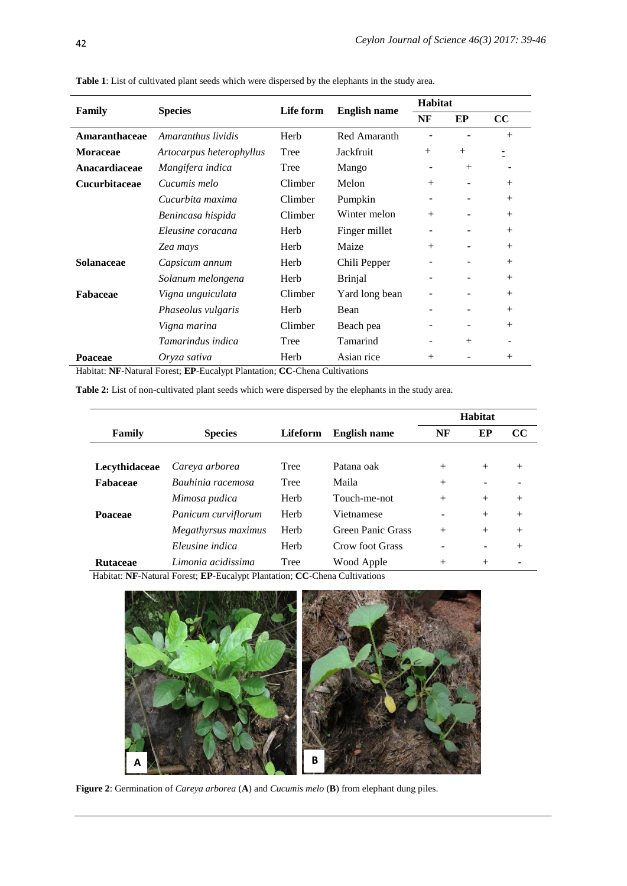| Family               | <b>Species</b>           | Life form | <b>English name</b> | <b>Habitat</b>           |                          |        |
|----------------------|--------------------------|-----------|---------------------|--------------------------|--------------------------|--------|
|                      |                          |           |                     | NF                       | EP                       | cc     |
| Amaranthaceae        | Amaranthus lividis       | Herb      | Red Amaranth        |                          |                          | $^{+}$ |
| <b>Moraceae</b>      | Artocarpus heterophyllus | Tree      | Jackfruit           | $^{+}$                   | $^{+}$                   |        |
| Anacardiaceae        | Mangifera indica         | Tree      | Mango               |                          | $^{+}$                   |        |
| <b>Cucurbitaceae</b> | Cucumis melo             | Climber   | Melon               | $^{+}$                   | $\overline{\phantom{a}}$ | $^{+}$ |
|                      | Cucurbita maxima         | Climber   | Pumpkin             | -                        | $\overline{\phantom{a}}$ | $^{+}$ |
|                      | Benincasa hispida        | Climber   | Winter melon        | $+$                      |                          | $^{+}$ |
|                      | Eleusine coracana        | Herb      | Finger millet       |                          |                          | $^{+}$ |
|                      | Zea mays                 | Herb      | Maize               | $^{+}$                   |                          | $^{+}$ |
| <b>Solanaceae</b>    | Capsicum annum           | Herb      | Chili Pepper        |                          |                          | $^{+}$ |
|                      | Solanum melongena        | Herb      | <b>Brinjal</b>      |                          | ۰                        | $^{+}$ |
| Fabaceae             | Vigna unguiculata        | Climber   | Yard long bean      |                          | $\overline{\phantom{a}}$ | $^{+}$ |
|                      | Phaseolus vulgaris       | Herb      | Bean                |                          |                          | $^{+}$ |
|                      | Vigna marina             | Climber   | Beach pea           |                          |                          | $^{+}$ |
|                      | Tamarindus indica        | Tree      | Tamarind            | $\overline{\phantom{a}}$ | $+$                      |        |
| Poaceae              | Oryza sativa             | Herb      | Asian rice          | $^{+}$                   |                          | $^{+}$ |

**Table 1**: List of cultivated plant seeds which were dispersed by the elephants in the study area.

Habitat: **NF**-Natural Forest; **EP**-Eucalypt Plantation; **CC**-Chena Cultivations

**Table 2:** List of non-cultivated plant seeds which were dispersed by the elephants in the study area.

|                 |                     |             |                     | <b>Habitat</b> |        |          |
|-----------------|---------------------|-------------|---------------------|----------------|--------|----------|
| Family          | <b>Species</b>      | Lifeform    | <b>English name</b> | NF             | EP     | $\bf CC$ |
|                 |                     |             |                     |                |        |          |
| Lecythidaceae   | Careya arborea      | Tree        | Patana oak          | $^{+}$         | $^{+}$ | $+$      |
| <b>Fabaceae</b> | Bauhinia racemosa   | <b>Tree</b> | Maila               | $^{+}$         |        |          |
|                 | Mimosa pudica       | Herb        | Touch-me-not        | $^{+}$         | $+$    | $+$      |
| <b>Poaceae</b>  | Panicum curviflorum | Herb        | Vietnamese          |                | $+$    | $+$      |
|                 | Megathyrsus maximus | Herb        | Green Panic Grass   | $^{+}$         | $+$    | $+$      |
|                 | Eleusine indica     | Herb        | Crow foot Grass     |                | ۰      | $+$      |
| <b>Rutaceae</b> | Limonia acidissima  | Tree        | Wood Apple          | $^{+}$         | $^{+}$ |          |

Habitat: **NF**-Natural Forest; **EP**-Eucalypt Plantation; **CC**-Chena Cultivations



**Figure 2**: Germination of *Careya arborea* (**A**) and *Cucumis melo* (**B**) from elephant dung piles.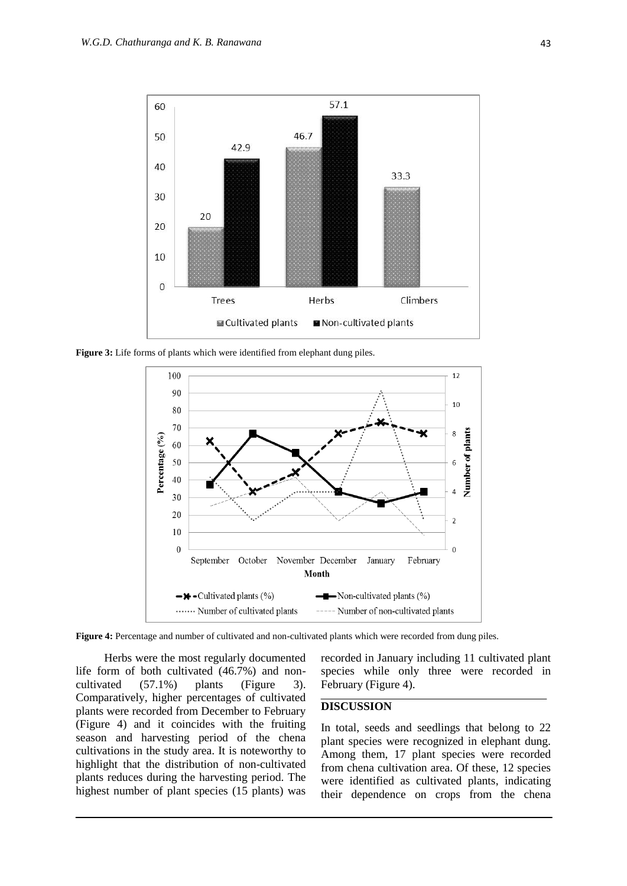

Figure 3: Life forms of plants which were identified from elephant dung piles.



**Figure 4:** Percentage and number of cultivated and non-cultivated plants which were recorded from dung piles.

Herbs were the most regularly documented life form of both cultivated (46.7%) and noncultivated (57.1%) plants (Figure 3). Comparatively, higher percentages of cultivated plants were recorded from December to February (Figure 4) and it coincides with the fruiting season and harvesting period of the chena cultivations in the study area. It is noteworthy to highlight that the distribution of non-cultivated plants reduces during the harvesting period. The highest number of plant species (15 plants) was

recorded in January including 11 cultivated plant species while only three were recorded in February (Figure 4).

#### **DISCUSSION**

In total, seeds and seedlings that belong to 22 plant species were recognized in elephant dung. Among them, 17 plant species were recorded from chena cultivation area. Of these, 12 species were identified as cultivated plants, indicating their dependence on crops from the chena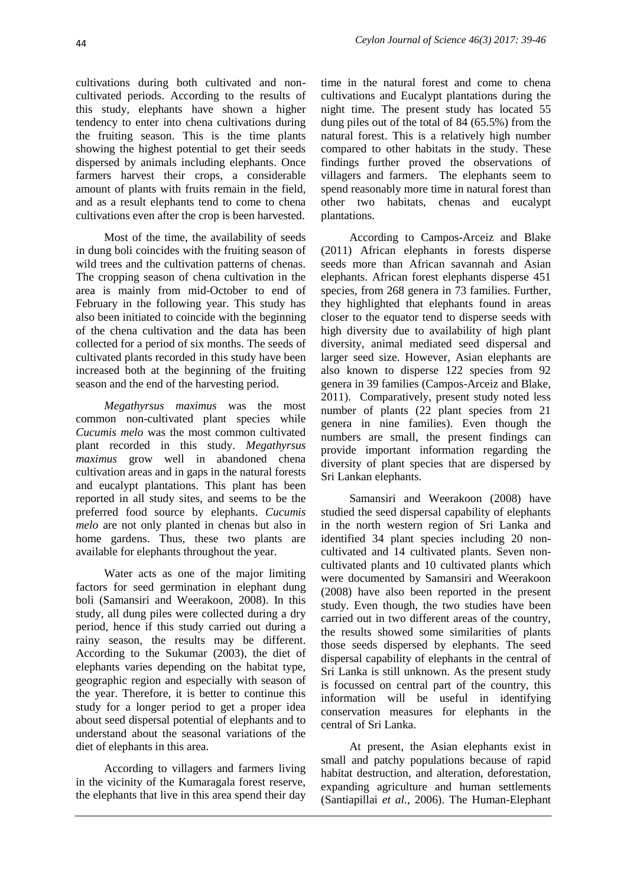cultivations during both cultivated and noncultivated periods. According to the results of this study, elephants have shown a higher tendency to enter into chena cultivations during the fruiting season. This is the time plants showing the highest potential to get their seeds dispersed by animals including elephants. Once farmers harvest their crops, a considerable amount of plants with fruits remain in the field, and as a result elephants tend to come to chena cultivations even after the crop is been harvested.

Most of the time, the availability of seeds in dung boli coincides with the fruiting season of wild trees and the cultivation patterns of chenas. The cropping season of chena cultivation in the area is mainly from mid-October to end of February in the following year. This study has also been initiated to coincide with the beginning of the chena cultivation and the data has been collected for a period of six months. The seeds of cultivated plants recorded in this study have been increased both at the beginning of the fruiting season and the end of the harvesting period.

*Megathyrsus maximus* was the most common non-cultivated plant species while *Cucumis melo* was the most common cultivated plant recorded in this study. *Megathyrsus maximus* grow well in abandoned chena cultivation areas and in gaps in the natural forests and eucalypt plantations. This plant has been reported in all study sites, and seems to be the preferred food source by elephants. *Cucumis melo* are not only planted in chenas but also in home gardens. Thus, these two plants are available for elephants throughout the year.

Water acts as one of the major limiting factors for seed germination in elephant dung boli (Samansiri and Weerakoon, 2008). In this study, all dung piles were collected during a dry period, hence if this study carried out during a rainy season, the results may be different. According to the Sukumar (2003), the diet of elephants varies depending on the habitat type, geographic region and especially with season of the year. Therefore, it is better to continue this study for a longer period to get a proper idea about seed dispersal potential of elephants and to understand about the seasonal variations of the diet of elephants in this area.

According to villagers and farmers living in the vicinity of the Kumaragala forest reserve, the elephants that live in this area spend their day

time in the natural forest and come to chena cultivations and Eucalypt plantations during the night time. The present study has located 55 dung piles out of the total of 84 (65.5%) from the natural forest. This is a relatively high number compared to other habitats in the study. These findings further proved the observations of villagers and farmers. The elephants seem to spend reasonably more time in natural forest than other two habitats, chenas and eucalypt plantations.

According to Campos-Arceiz and Blake (2011) African elephants in forests disperse seeds more than African savannah and Asian elephants. African forest elephants disperse 451 species, from 268 genera in 73 families. Further, they highlighted that elephants found in areas closer to the equator tend to disperse seeds with high diversity due to availability of high plant diversity, animal mediated seed dispersal and larger seed size. However, Asian elephants are also known to disperse 122 species from 92 genera in 39 families (Campos-Arceiz and Blake, 2011). Comparatively, present study noted less number of plants (22 plant species from 21 genera in nine families). Even though the numbers are small, the present findings can provide important information regarding the diversity of plant species that are dispersed by Sri Lankan elephants.

Samansiri and Weerakoon (2008) have studied the seed dispersal capability of elephants in the north western region of Sri Lanka and identified 34 plant species including 20 noncultivated and 14 cultivated plants. Seven noncultivated plants and 10 cultivated plants which were documented by Samansiri and Weerakoon (2008) have also been reported in the present study. Even though, the two studies have been carried out in two different areas of the country, the results showed some similarities of plants those seeds dispersed by elephants. The seed dispersal capability of elephants in the central of Sri Lanka is still unknown. As the present study is focussed on central part of the country, this information will be useful in identifying conservation measures for elephants in the central of Sri Lanka.

At present, the Asian elephants exist in small and patchy populations because of rapid habitat destruction, and alteration, deforestation, expanding agriculture and human settlements (Santiapillai *et al.*, 2006). The Human-Elephant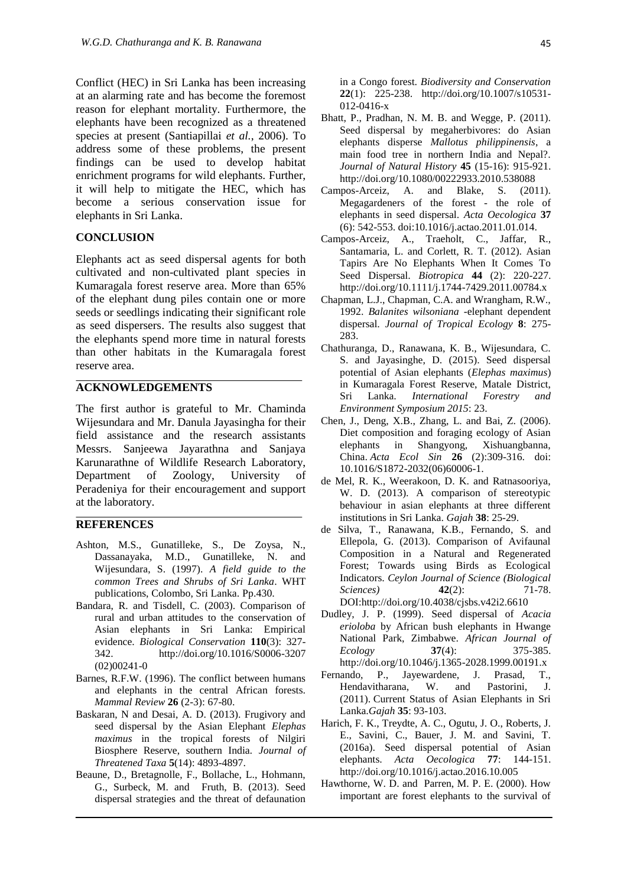Conflict (HEC) in Sri Lanka has been increasing at an alarming rate and has become the foremost reason for elephant mortality. Furthermore, the elephants have been recognized as a threatened species at present (Santiapillai *et al.*, 2006). To address some of these problems, the present findings can be used to develop habitat enrichment programs for wild elephants. Further, it will help to mitigate the HEC, which has become a serious conservation issue for elephants in Sri Lanka.

#### **CONCLUSION**

Elephants act as seed dispersal agents for both cultivated and non-cultivated plant species in Kumaragala forest reserve area. More than 65% of the elephant dung piles contain one or more seeds or seedlings indicating their significant role as seed dispersers. The results also suggest that the elephants spend more time in natural forests than other habitats in the Kumaragala forest reserve area.

### **ACKNOWLEDGEMENTS**

The first author is grateful to Mr. Chaminda Wijesundara and Mr. Danula Jayasingha for their field assistance and the research assistants Messrs. Sanjeewa Jayarathna and Sanjaya Karunarathne of Wildlife Research Laboratory, Department of Zoology, University of Peradeniya for their encouragement and support at the laboratory.

## **REFERENCES**

- Ashton, M.S., Gunatilleke, S., De Zoysa, N., Dassanayaka, M.D., Gunatilleke, N. and Wijesundara, S. (1997). *A field guide to the common Trees and Shrubs of Sri Lanka*. WHT publications, Colombo, Sri Lanka. Pp.430.
- Bandara, R. and Tisdell, C. (2003). Comparison of rural and urban attitudes to the conservation of Asian elephants in Sri Lanka: Empirical evidence. *Biological Conservation* **110**(3): 327- 342. http://doi.org/10.1016/S0006-3207 (02)00241-0
- Barnes, R.F.W. (1996). The conflict between humans and elephants in the central African forests. *Mammal Review* **26** (2-3): 67-80.
- Baskaran, N and Desai, A. D. (2013). Frugivory and seed dispersal by the Asian Elephant *Elephas maximus* in the tropical forests of Nilgiri Biosphere Reserve, southern India*. Journal of Threatened Taxa* **5**(14): 4893-4897.
- Beaune, D., Bretagnolle, F., Bollache, L., Hohmann, G., Surbeck, M. and Fruth, B. (2013). Seed dispersal strategies and the threat of defaunation

in a Congo forest. *Biodiversity and Conservation*  **22**(1): 225-238. http://doi.org/10.1007/s10531- 012-0416-x

- Bhatt, P., Pradhan, N. M. B. and Wegge, P. (2011). Seed dispersal by megaherbivores: do Asian elephants disperse *Mallotus philippinensis*, a main food tree in northern India and Nepal?. *Journal of Natural History* **45** (15-16): 915-921. http://doi.org/10.1080/00222933.2010.538088
- Campos-Arceiz, A. and Blake, S. (2011). Megagardeners of the forest - the role of elephants in seed dispersal. *Acta Oecologica* **37**  (6): 542-553. doi:10.1016/j.actao.2011.01.014.
- Campos-Arceiz, A., Traeholt, C., Jaffar, R., Santamaria, L. and Corlett, R. T. (2012). Asian Tapirs Are No Elephants When It Comes To Seed Dispersal. *Biotropica* **44** (2): 220-227. http://doi.org/10.1111/j.1744-7429.2011.00784.x
- Chapman, L.J., Chapman, C.A. and Wrangham, R.W., 1992. *Balanites wilsoniana* -elephant dependent dispersal. *Journal of Tropical Ecology* **8**: 275- 283.
- Chathuranga, D., Ranawana, K. B., Wijesundara, C. S. and Jayasinghe, D. (2015). Seed dispersal potential of Asian elephants (*Elephas maximus*) in Kumaragala Forest Reserve, Matale District, Sri Lanka. *International Forestry and Environment Symposium 2015*: 23.
- Chen, J., Deng, X.B., Zhang, L. and Bai, Z. (2006). Diet composition and foraging ecology of Asian elephants in Shangyong, Xishuangbanna, China. *Acta Ecol Sin* **26** (2):309-316. doi: 10.1016/S1872-2032(06)60006-1.
- de Mel, R. K., Weerakoon, D. K. and Ratnasooriya, W. D. (2013). A comparison of stereotypic behaviour in asian elephants at three different institutions in Sri Lanka. *Gajah* **38**: 25-29.
- de Silva, T., Ranawana, K.B., Fernando, S. and Ellepola, G. (2013). Comparison of Avifaunal Composition in a Natural and Regenerated Forest; Towards using Birds as Ecological Indicators. *Ceylon Journal of Science (Biological Sciences)* **42**(2): 71-78. DOI[:http://doi.org/10.4038/cjsbs.v42i2.6610](http://doi.org/10.4038/cjsbs.v42i2.6610)
- Dudley, J. P. (1999). Seed dispersal of *Acacia erioloba* by African bush elephants in Hwange National Park, Zimbabwe. *African Journal of Ecology* **37**(4): 375-385. http://doi.org/10.1046/j.1365-2028.1999.00191.x
- Fernando, P., Jayewardene, J. Prasad, T., Hendavitharana, W. and Pastorini, J. (2011). [Current Status of Asian Elephants in Sri](http://www.asesg.org/PDFfiles/2012/35-93-Fernando.pdf)  [Lanka.](http://www.asesg.org/PDFfiles/2012/35-93-Fernando.pdf)*Gajah* **35**: 93-103.
- Harich, F. K., Treydte, A. C., Ogutu, J. O., Roberts, J. E., Savini, C., Bauer, J. M. and Savini, T. (2016a). Seed dispersal potential of Asian elephants. *Acta Oecologica* **77**: 144-151. http://doi.org/10.1016/j.actao.2016.10.005
- Hawthorne, W. D. and Parren, M. P. E. (2000). How important are forest elephants to the survival of